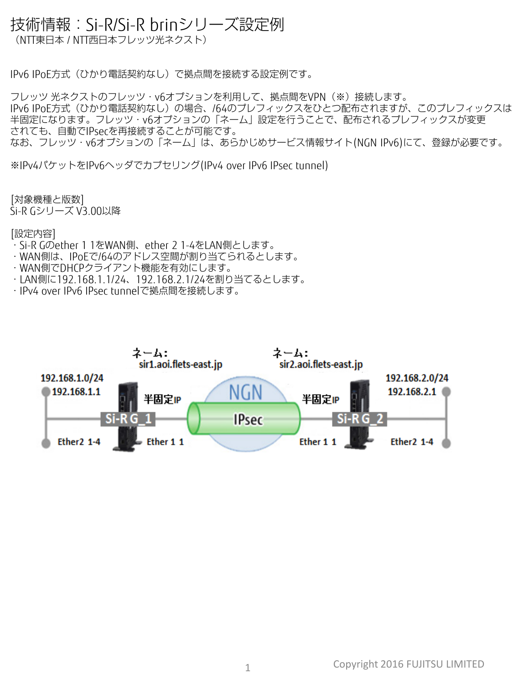## 技術情報:Si-R/Si-R brinシリーズ設定例

(NTT東日本 / NTT西日本フレッツ光ネクスト)

IPv6 IPoE方式(ひかり電話契約なし)で拠点間を接続する設定例です。

フレッツ 光ネクストのフレッツ・v6オプションを利用して、拠点間をVPN(※)接続します。 IPv6 IPoE方式 (ひかり電話契約なし) の場合、/64のプレフィックスをひとつ配布されますが、このプレフィックスは 半固定になります。フレッツ・v6オプションの「ネーム」設定を行うことで、配布されるプレフィックスが変更 されても、自動でIPsecを再接続することが可能です。 なお、フレッツ・v6オプションの「ネーム」は、あらかじめサービス情報サイト(NGN IPv6)にて、登録が必要です。

※IPv4パケットをIPv6ヘッダでカプセリング(IPv4 over IPv6 IPsec tunnel)

[対象機種と版数] Si-R Gシリーズ V3.00以降

## [設定内容]

- ・Si-R Gのether 1 1をWAN側、ether 2 1-4をLAN側とします。
- ・WAN側は、IPoEで/64のアドレス空間が割り当てられるとします。
- ・WAN側でDHCPクライアント機能を有効にします。
- ・LAN側に192.168.1.1/24、192.168.2.1/24を割り当てるとします。
- ・IPv4 over IPv6 IPsec tunnelで拠点間を接続します。

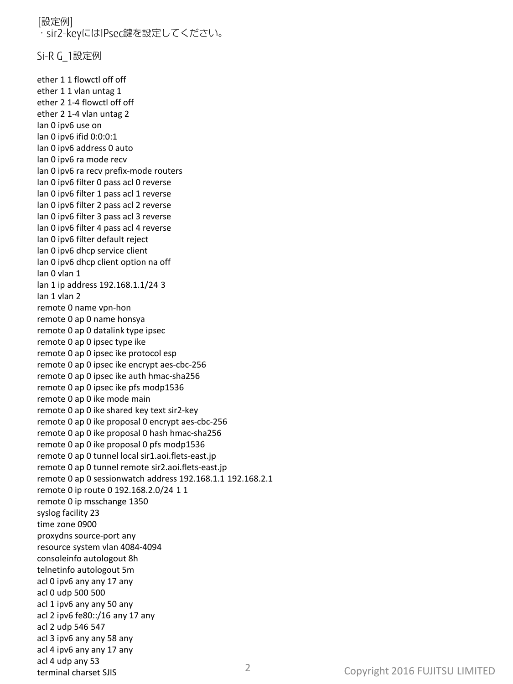[設定例] ・sir2-keyにはIPsec鍵を設定してください。

Si-R G\_1設定例

ether 1 1 flowctl off off ether 1 1 vlan untag 1 ether 2 1-4 flowctl off off ether 2 1-4 vlan untag 2 lan 0 ipv6 use on lan 0 ipv6 ifid 0:0:0:1 lan 0 ipv6 address 0 auto lan 0 ipv6 ra mode recv lan 0 ipv6 ra recv prefix-mode routers lan 0 ipv6 filter 0 pass acl 0 reverse lan 0 ipv6 filter 1 pass acl 1 reverse lan 0 ipv6 filter 2 pass acl 2 reverse lan 0 ipv6 filter 3 pass acl 3 reverse lan 0 ipv6 filter 4 pass acl 4 reverse lan 0 ipv6 filter default reject lan 0 ipv6 dhcp service client lan 0 ipv6 dhcp client option na off lan 0 vlan 1 lan 1 ip address 192.168.1.1/24 3 lan 1 vlan 2 remote 0 name vpn-hon remote 0 ap 0 name honsya remote 0 ap 0 datalink type ipsec remote 0 ap 0 ipsec type ike remote 0 ap 0 ipsec ike protocol esp remote 0 ap 0 ipsec ike encrypt aes-cbc-256 remote 0 ap 0 ipsec ike auth hmac-sha256 remote 0 ap 0 ipsec ike pfs modp1536 remote 0 ap 0 ike mode main remote 0 ap 0 ike shared key text sir2-key remote 0 ap 0 ike proposal 0 encrypt aes-cbc-256 remote 0 ap 0 ike proposal 0 hash hmac-sha256 remote 0 ap 0 ike proposal 0 pfs modp1536 remote 0 ap 0 tunnel local sir1.aoi.flets-east.jp remote 0 ap 0 tunnel remote sir2.aoi.flets-east.jp remote 0 ap 0 sessionwatch address 192.168.1.1 192.168.2.1 remote 0 ip route 0 192.168.2.0/24 1 1 remote 0 ip msschange 1350 syslog facility 23 time zone 0900 proxydns source-port any resource system vlan 4084-4094 consoleinfo autologout 8h telnetinfo autologout 5m acl 0 ipv6 any any 17 any acl 0 udp 500 500 acl 1 ipv6 any any 50 any acl 2 ipv6 fe80::/16 any 17 any acl 2 udp 546 547 acl 3 ipv6 any any 58 any acl 4 ipv6 any any 17 any acl 4 udp any 53 terminal charset SJIS 2 Copyright 2016 FUJITSU LIMITED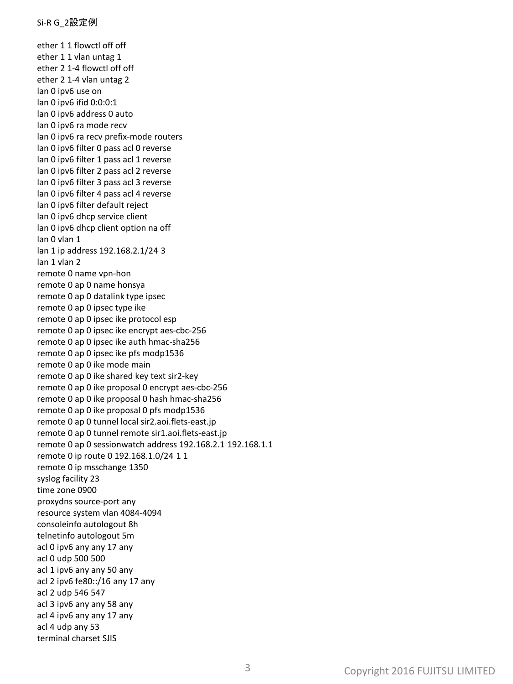ether 1 1 flowctl off off ether 1 1 vlan untag 1 ether 2 1-4 flowctl off off ether 2 1-4 vlan untag 2 lan 0 ipv6 use on lan 0 ipv6 ifid 0:0:0:1 lan 0 ipv6 address 0 auto lan 0 ipv6 ra mode recv lan 0 ipv6 ra recv prefix-mode routers lan 0 ipv6 filter 0 pass acl 0 reverse lan 0 ipv6 filter 1 pass acl 1 reverse lan 0 ipv6 filter 2 pass acl 2 reverse lan 0 ipv6 filter 3 pass acl 3 reverse lan 0 ipv6 filter 4 pass acl 4 reverse lan 0 ipv6 filter default reject lan 0 ipv6 dhcp service client lan 0 ipv6 dhcp client option na off lan 0 vlan 1 lan 1 ip address 192.168.2.1/24 3 lan 1 vlan 2 remote 0 name vpn-hon remote 0 ap 0 name honsya remote 0 ap 0 datalink type ipsec remote 0 ap 0 ipsec type ike remote 0 ap 0 ipsec ike protocol esp remote 0 ap 0 ipsec ike encrypt aes-cbc-256 remote 0 ap 0 ipsec ike auth hmac-sha256 remote 0 ap 0 ipsec ike pfs modp1536 remote 0 ap 0 ike mode main remote 0 ap 0 ike shared key text sir2-key remote 0 ap 0 ike proposal 0 encrypt aes-cbc-256 remote 0 ap 0 ike proposal 0 hash hmac-sha256 remote 0 ap 0 ike proposal 0 pfs modp1536 remote 0 ap 0 tunnel local sir2.aoi.flets-east.jp remote 0 ap 0 tunnel remote sir1.aoi.flets-east.jp remote 0 ap 0 sessionwatch address 192.168.2.1 192.168.1.1 remote 0 ip route 0 192.168.1.0/24 1 1 remote 0 ip msschange 1350 syslog facility 23 time zone 0900 proxydns source-port any resource system vlan 4084-4094 consoleinfo autologout 8h telnetinfo autologout 5m acl 0 ipv6 any any 17 any acl 0 udp 500 500 acl 1 ipv6 any any 50 any acl 2 ipv6 fe80::/16 any 17 any acl 2 udp 546 547 acl 3 ipv6 any any 58 any acl 4 ipv6 any any 17 any acl 4 udp any 53 terminal charset SJIS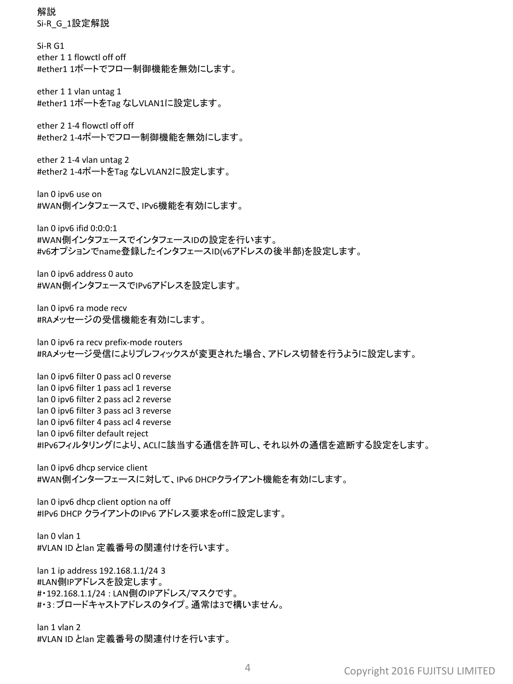解説 Si-R\_G\_1設定解説

Si-R G1 ether 1 1 flowctl off off #ether1 1ポートでフロー制御機能を無効にします。

ether 1 1 vlan untag 1 #ether1 1ポートをTag なしVLAN1に設定します。

ether 2 1-4 flowctl off off #ether2 1-4ポートでフロー制御機能を無効にします。

ether 2 1-4 vlan untag 2 #ether2 1-4ポートをTag なしVLAN2に設定します。

lan 0 ipv6 use on #WAN側インタフェースで、IPv6機能を有効にします。

lan 0 ipv6 ifid 0:0:0:1 #WAN側インタフェースでインタフェースIDの設定を行います。 #v6オプションでname登録したインタフェースID(v6アドレスの後半部)を設定します。

lan 0 ipv6 address 0 auto #WAN側インタフェースでIPv6アドレスを設定します。

lan 0 ipv6 ra mode recv #RAメッセージの受信機能を有効にします。

lan 0 ipv6 ra recv prefix-mode routers #RAメッセージ受信によりプレフィックスが変更された場合、アドレス切替を行うように設定します。

lan 0 ipv6 filter 0 pass acl 0 reverse lan 0 ipv6 filter 1 pass acl 1 reverse lan 0 ipv6 filter 2 pass acl 2 reverse lan 0 ipv6 filter 3 pass acl 3 reverse lan 0 ipv6 filter 4 pass acl 4 reverse lan 0 ipv6 filter default reject #IPv6フィルタリングにより、ACLに該当する通信を許可し、それ以外の通信を遮断する設定をします。

lan 0 ipv6 dhcp service client #WAN側インターフェースに対して、IPv6 DHCPクライアント機能を有効にします。

lan 0 ipv6 dhcp client option na off #IPv6 DHCP クライアントのIPv6 アドレス要求をoffに設定します。

lan 0 vlan 1 #VLAN ID とlan 定義番号の関連付けを行います。

lan 1 ip address 192.168.1.1/24 3 #LAN側IPアドレスを設定します。 #・192.168.1.1/24 : LAN側のIPアドレス/マスクです。 #・3:ブロードキャストアドレスのタイプ。通常は3で構いません。

lan 1 vlan 2 #VLAN ID とlan 定義番号の関連付けを行います。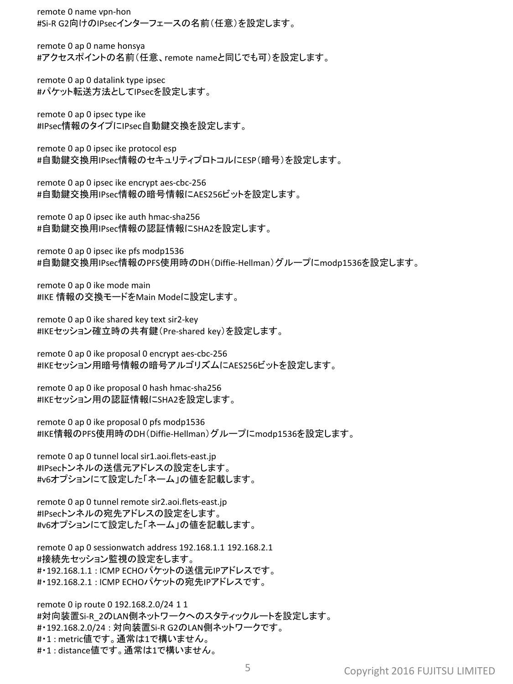remote 0 name vpn-hon #Si-R G2向けのIPsecインターフェースの名前(任意)を設定します。

remote 0 ap 0 name honsya #アクセスポイントの名前(任意、remote nameと同じでも可)を設定します。

remote 0 ap 0 datalink type ipsec #パケット転送方法としてIPsecを設定します。

remote 0 ap 0 ipsec type ike #IPsec情報のタイプにIPsec自動鍵交換を設定します。

remote 0 ap 0 ipsec ike protocol esp #自動鍵交換用IPsec情報のセキュリティプロトコルにESP(暗号)を設定します。

remote 0 ap 0 ipsec ike encrypt aes-cbc-256 #自動鍵交換用IPsec情報の暗号情報にAES256ビットを設定します。

remote 0 ap 0 ipsec ike auth hmac-sha256 #自動鍵交換用IPsec情報の認証情報にSHA2を設定します。

remote 0 ap 0 ipsec ike pfs modp1536 #自動鍵交換用IPsec情報のPFS使用時のDH(Diffie-Hellman)グループにmodp1536を設定します。

remote 0 ap 0 ike mode main #IKE 情報の交換モードをMain Modeに設定します。

remote 0 ap 0 ike shared key text sir2-key #IKEセッション確立時の共有鍵(Pre-shared key)を設定します。

remote 0 ap 0 ike proposal 0 encrypt aes-cbc-256 #IKEセッション用暗号情報の暗号アルゴリズムにAES256ビットを設定します。

remote 0 ap 0 ike proposal 0 hash hmac-sha256 #IKEセッション用の認証情報にSHA2を設定します。

remote 0 ap 0 ike proposal 0 pfs modp1536 #IKE情報のPFS使用時のDH(Diffie-Hellman)グループにmodp1536を設定します。

remote 0 ap 0 tunnel local sir1.aoi.flets-east.jp #IPsecトンネルの送信元アドレスの設定をします。 #v6オプションにて設定した「ネーム」の値を記載します。

remote 0 ap 0 tunnel remote sir2.aoi.flets-east.jp #IPsecトンネルの宛先アドレスの設定をします。 #v6オプションにて設定した「ネーム」の値を記載します。

remote 0 ap 0 sessionwatch address 192.168.1.1 192.168.2.1 #接続先セッション監視の設定をします。 #・192.168.1.1 : ICMP ECHOパケットの送信元IPアドレスです。 #・192.168.2.1 : ICMP ECHOパケットの宛先IPアドレスです。

remote 0 ip route 0 192.168.2.0/24 1 1 #対向装置Si-R 2のLAN側ネットワークへのスタティックルートを設定します。 #・192.168.2.0/24 : 対向装置Si-R G2のLAN側ネットワークです。 #・1 : metric値です。通常は1で構いません。 #・1 : distance値です。通常は1で構いません。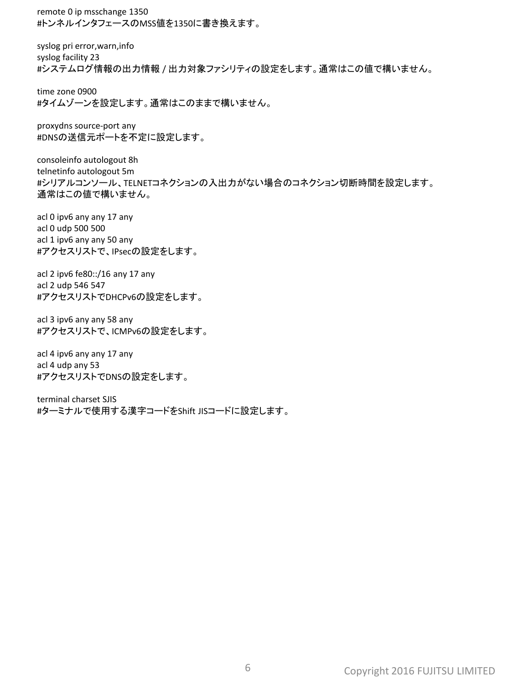remote 0 ip msschange 1350 #トンネルインタフェースのMSS値を1350に書き換えます。

syslog pri error,warn,info syslog facility 23 #システムログ情報の出力情報 / 出力対象ファシリティの設定をします。通常はこの値で構いません。

time zone 0900 #タイムゾーンを設定します。通常はこのままで構いません。

proxydns source-port any #DNSの送信元ポートを不定に設定します。

consoleinfo autologout 8h telnetinfo autologout 5m #シリアルコンソール、TELNETコネクションの入出力がない場合のコネクション切断時間を設定します。 通常はこの値で構いません。

acl 0 ipv6 any any 17 any acl 0 udp 500 500 acl 1 ipv6 any any 50 any #アクセスリストで、IPsecの設定をします。

acl 2 ipv6 fe80::/16 any 17 any acl 2 udp 546 547 #アクセスリストでDHCPv6の設定をします。

acl 3 ipv6 any any 58 any #アクセスリストで、ICMPv6の設定をします。

acl 4 ipv6 any any 17 any acl 4 udp any 53 #アクセスリストでDNSの設定をします。

terminal charset SJIS #ターミナルで使用する漢字コードをShift JISコードに設定します。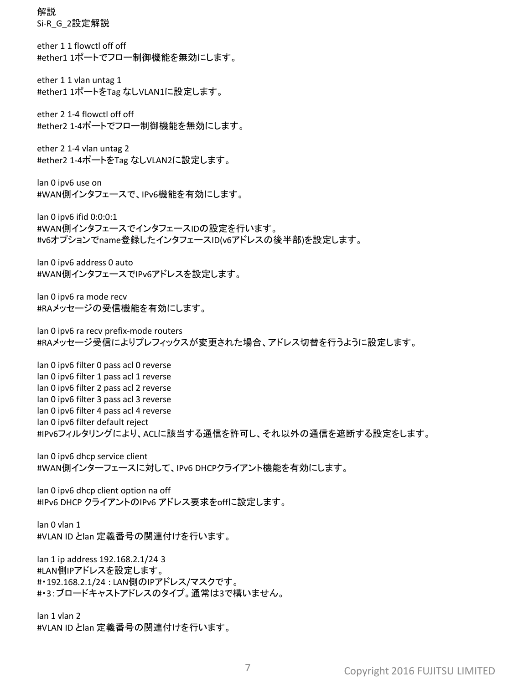解説 Si-R\_G\_2設定解説

ether 1 1 flowctl off off #ether1 1ポートでフロー制御機能を無効にします。

ether 1 1 vlan untag 1 #ether1 1ポートをTag なしVLAN1に設定します。

ether 2 1-4 flowctl off off #ether2 1-4ポートでフロー制御機能を無効にします。

ether 2 1-4 vlan untag 2 #ether2 1-4ポートをTag なしVLAN2に設定します。

lan 0 ipv6 use on #WAN側インタフェースで、IPv6機能を有効にします。

lan 0 ipv6 ifid 0:0:0:1 #WAN側インタフェースでインタフェースIDの設定を行います。 #v6オプションでname登録したインタフェースID(v6アドレスの後半部)を設定します。

lan 0 ipv6 address 0 auto #WAN側インタフェースでIPv6アドレスを設定します。

lan 0 ipv6 ra mode recv #RAメッセージの受信機能を有効にします。

lan 0 ipv6 ra recv prefix-mode routers #RAメッセージ受信によりプレフィックスが変更された場合、アドレス切替を行うように設定します。

lan 0 ipv6 filter 0 pass acl 0 reverse lan 0 ipv6 filter 1 pass acl 1 reverse lan 0 ipv6 filter 2 pass acl 2 reverse lan 0 ipv6 filter 3 pass acl 3 reverse lan 0 ipv6 filter 4 pass acl 4 reverse lan 0 ipv6 filter default reject #IPv6フィルタリングにより、ACLに該当する通信を許可し、それ以外の通信を遮断する設定をします。

lan 0 ipv6 dhcp service client #WAN側インターフェースに対して、IPv6 DHCPクライアント機能を有効にします。

lan 0 ipv6 dhcp client option na off #IPv6 DHCP クライアントのIPv6 アドレス要求をoffに設定します。

lan 0 vlan 1 #VLAN ID とlan 定義番号の関連付けを行います。

lan 1 ip address 192.168.2.1/24 3 #LAN側IPアドレスを設定します。 #・192.168.2.1/24 : LAN側のIPアドレス/マスクです。 #・3:ブロードキャストアドレスのタイプ。通常は3で構いません。

lan 1 vlan 2 #VLAN ID とlan 定義番号の関連付けを行います。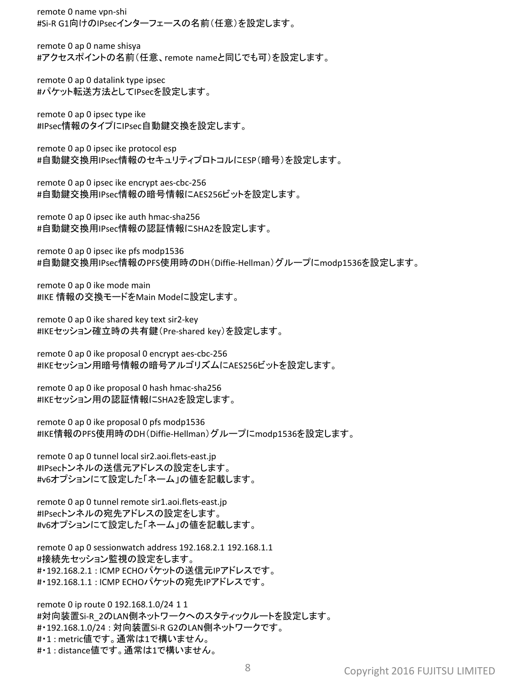remote 0 name vpn-shi #Si-R G1向けのIPsecインターフェースの名前(任意)を設定します。

remote 0 ap 0 name shisya #アクセスポイントの名前(任意、remote nameと同じでも可)を設定します。

remote 0 ap 0 datalink type ipsec #パケット転送方法としてIPsecを設定します。

remote 0 ap 0 ipsec type ike #IPsec情報のタイプにIPsec自動鍵交換を設定します。

remote 0 ap 0 ipsec ike protocol esp #自動鍵交換用IPsec情報のセキュリティプロトコルにESP(暗号)を設定します。

remote 0 ap 0 ipsec ike encrypt aes-cbc-256 #自動鍵交換用IPsec情報の暗号情報にAES256ビットを設定します。

remote 0 ap 0 ipsec ike auth hmac-sha256 #自動鍵交換用IPsec情報の認証情報にSHA2を設定します。

remote 0 ap 0 ipsec ike pfs modp1536 #自動鍵交換用IPsec情報のPFS使用時のDH(Diffie-Hellman)グループにmodp1536を設定します。

remote 0 ap 0 ike mode main #IKE 情報の交換モードをMain Modeに設定します。

remote 0 ap 0 ike shared key text sir2-key #IKEセッション確立時の共有鍵(Pre-shared key)を設定します。

remote 0 ap 0 ike proposal 0 encrypt aes-cbc-256 #IKEセッション用暗号情報の暗号アルゴリズムにAES256ビットを設定します。

remote 0 ap 0 ike proposal 0 hash hmac-sha256 #IKEセッション用の認証情報にSHA2を設定します。

remote 0 ap 0 ike proposal 0 pfs modp1536 #IKE情報のPFS使用時のDH(Diffie-Hellman)グループにmodp1536を設定します。

remote 0 ap 0 tunnel local sir2.aoi.flets-east.jp #IPsecトンネルの送信元アドレスの設定をします。 #v6オプションにて設定した「ネーム」の値を記載します。

remote 0 ap 0 tunnel remote sir1.aoi.flets-east.jp #IPsecトンネルの宛先アドレスの設定をします。 #v6オプションにて設定した「ネーム」の値を記載します。

remote 0 ap 0 sessionwatch address 192.168.2.1 192.168.1.1 #接続先セッション監視の設定をします。 #・192.168.2.1 : ICMP ECHOパケットの送信元IPアドレスです。 #・192.168.1.1 : ICMP ECHOパケットの宛先IPアドレスです。

remote 0 ip route 0 192.168.1.0/24 1 1 #対向装置Si-R 2のLAN側ネットワークへのスタティックルートを設定します。 #・192.168.1.0/24 : 対向装置Si-R G2のLAN側ネットワークです。 #・1 : metric値です。通常は1で構いません。 #・1 : distance値です。通常は1で構いません。